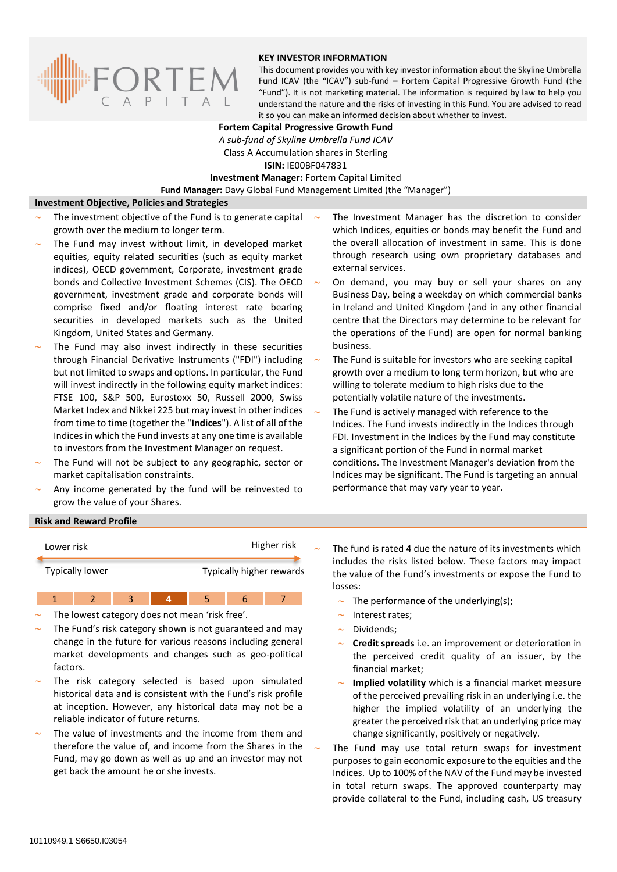

## **KEY INVESTOR INFORMATION**

This document provides you with key investor information about the Skyline Umbrella Fund ICAV (the "ICAV") sub-fund **–** Fortem Capital Progressive Growth Fund (the "Fund"). It is not marketing material. The information is required by law to help you understand the nature and the risks of investing in this Fund. You are advised to read it so you can make an informed decision about whether to invest.

### **Fortem Capital Progressive Growth Fund**

*A sub-fund of Skyline Umbrella Fund ICAV* Class A Accumulation shares in Sterling **ISIN:** IE00BF047831

**Investment Manager:** Fortem Capital Limited

**Fund Manager:** Davy Global Fund Management Limited (the "Manager")

#### **Investment Objective, Policies and Strategies**

- The investment objective of the Fund is to generate capital growth over the medium to longer term.
- The Fund may invest without limit, in developed market equities, equity related securities (such as equity market indices), OECD government, Corporate, investment grade bonds and Collective Investment Schemes (CIS). The OECD government, investment grade and corporate bonds will comprise fixed and/or floating interest rate bearing securities in developed markets such as the United Kingdom, United States and Germany.
- The Fund may also invest indirectly in these securities through Financial Derivative Instruments ("FDI") including but not limited to swaps and options. In particular, the Fund will invest indirectly in the following equity market indices: FTSE 100, S&P 500, Eurostoxx 50, Russell 2000, Swiss Market Index and Nikkei 225 but may invest in other indices from time to time (together the "**Indices**"). A list of all of the Indices in which the Fund invests at any one time is available to investors from the Investment Manager on request.
- The Fund will not be subject to any geographic, sector or market capitalisation constraints.
- Any income generated by the fund will be reinvested to grow the value of your Shares.
- The Investment Manager has the discretion to consider which Indices, equities or bonds may benefit the Fund and the overall allocation of investment in same. This is done through research using own proprietary databases and external services.
- On demand, you may buy or sell your shares on any Business Day, being a weekday on which commercial banks in Ireland and United Kingdom (and in any other financial centre that the Directors may determine to be relevant for the operations of the Fund) are open for normal banking business.
- The Fund is suitable for investors who are seeking capital growth over a medium to long term horizon, but who are willing to tolerate medium to high risks due to the potentially volatile nature of the investments.
- The Fund is actively managed with reference to the Indices. The Fund invests indirectly in the Indices through FDI. Investment in the Indices by the Fund may constitute a significant portion of the Fund in normal market conditions. The Investment Manager's deviation from the Indices may be significant. The Fund is targeting an annual performance that may vary year to year.

#### **Risk and Reward Profile**



- The lowest category does not mean 'risk free'.
- The Fund's risk category shown is not guaranteed and may change in the future for various reasons including general market developments and changes such as geo-political factors.
- The risk category selected is based upon simulated historical data and is consistent with the Fund's risk profile at inception. However, any historical data may not be a reliable indicator of future returns.
- The value of investments and the income from them and therefore the value of, and income from the Shares in the Fund, may go down as well as up and an investor may not get back the amount he or she invests.
- The fund is rated 4 due the nature of its investments which includes the risks listed below. These factors may impact the value of the Fund's investments or expose the Fund to losses:
	- The performance of the underlying(s);
	- Interest rates;
	- $\sim$  Dividends;
	- **Credit spreads** i.e. an improvement or deterioration in the perceived credit quality of an issuer, by the financial market;
	- **Implied volatility** which is a financial market measure of the perceived prevailing risk in an underlying i.e. the higher the implied volatility of an underlying the greater the perceived risk that an underlying price may change significantly, positively or negatively.
- The Fund may use total return swaps for investment purposes to gain economic exposure to the equities and the Indices. Up to 100% of the NAV of the Fund may be invested in total return swaps. The approved counterparty may provide collateral to the Fund, including cash, US treasury